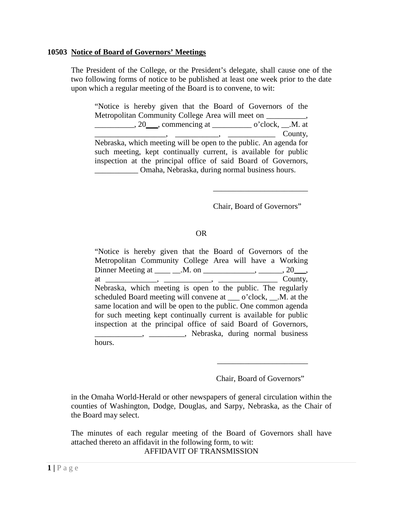#### **10503 Notice of Board of Governors' Meetings**

The President of the College, or the President's delegate, shall cause one of the two following forms of notice to be published at least one week prior to the date upon which a regular meeting of the Board is to convene, to wit:

"Notice is hereby given that the Board of Governors of the Metropolitan Community College Area will meet on \_\_\_\_\_\_\_\_\_\_, \_\_\_\_\_\_\_\_\_\_\_, 20\_\_\_, commencing at \_\_\_\_\_\_\_\_\_\_\_\_\_ o'clock, \_\_.M. at  $\overline{\phantom{a}}$   $\overline{\phantom{a}}$   $\overline{\phantom{a}}$   $\overline{\phantom{a}}$   $\overline{\phantom{a}}$   $\overline{\phantom{a}}$   $\overline{\phantom{a}}$   $\overline{\phantom{a}}$   $\overline{\phantom{a}}$   $\overline{\phantom{a}}$   $\overline{\phantom{a}}$   $\overline{\phantom{a}}$   $\overline{\phantom{a}}$   $\overline{\phantom{a}}$   $\overline{\phantom{a}}$   $\overline{\phantom{a}}$   $\overline{\phantom{a}}$   $\overline{\phantom{a}}$   $\overline{\$ Nebraska, which meeting will be open to the public. An agenda for such meeting, kept continually current, is available for public inspection at the principal office of said Board of Governors, \_\_\_\_\_\_\_\_\_\_\_ Omaha, Nebraska, during normal business hours.

Chair, Board of Governors"

\_\_\_\_\_\_\_\_\_\_\_\_\_\_\_\_\_\_\_\_\_\_\_\_

# OR

"Notice is hereby given that the Board of Governors of the Metropolitan Community College Area will have a Working Dinner Meeting at \_\_\_\_\_\_\_.M. on \_\_\_\_\_\_\_\_\_\_\_\_\_\_\_, \_\_\_\_\_\_, 20\_\_\_, at \_\_\_\_\_\_\_\_\_\_\_\_\_, \_\_\_\_\_\_\_\_\_\_\_\_, \_\_\_\_\_\_\_\_\_\_\_\_\_\_\_ County, Nebraska, which meeting is open to the public. The regularly scheduled Board meeting will convene at o'clock, .M. at the same location and will be open to the public. One common agenda for such meeting kept continually current is available for public inspection at the principal office of said Board of Governors, \_\_\_\_\_\_\_\_\_\_\_\_, \_\_\_\_\_\_\_\_\_, Nebraska, during normal business hours.

Chair, Board of Governors"

\_\_\_\_\_\_\_\_\_\_\_\_\_\_\_\_\_\_\_\_\_\_\_

in the Omaha World-Herald or other newspapers of general circulation within the counties of Washington, Dodge, Douglas, and Sarpy, Nebraska, as the Chair of the Board may select.

The minutes of each regular meeting of the Board of Governors shall have attached thereto an affidavit in the following form, to wit: AFFIDAVIT OF TRANSMISSION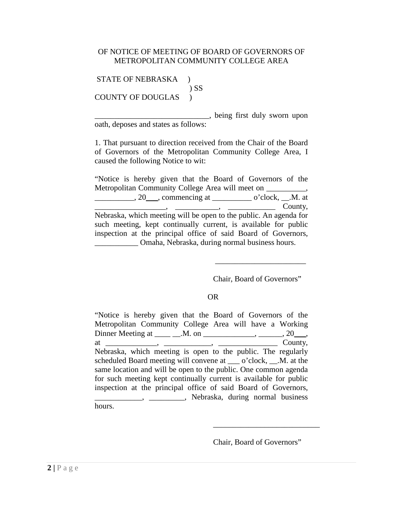# OF NOTICE OF MEETING OF BOARD OF GOVERNORS OF METROPOLITAN COMMUNITY COLLEGE AREA

STATE OF NEBRASKA ) ) SS COUNTY OF DOUGLAS )

> \_\_\_\_\_\_\_\_\_\_\_\_\_\_\_\_\_\_\_\_\_\_\_\_\_\_\_\_\_, being first duly sworn upon oath, deposes and states as follows:

> 1. That pursuant to direction received from the Chair of the Board of Governors of the Metropolitan Community College Area, I caused the following Notice to wit:

> "Notice is hereby given that the Board of Governors of the Metropolitan Community College Area will meet on \_\_\_\_\_\_\_\_\_\_, \_\_\_\_\_\_\_\_\_\_\_, 20\_\_\_, commencing at \_\_\_\_\_\_\_\_\_\_\_\_\_ o'clock, \_\_.M. at  $\longrightarrow$  County, Nebraska, which meeting will be open to the public. An agenda for such meeting, kept continually current, is available for public inspection at the principal office of said Board of Governors, \_\_\_\_\_\_\_\_\_\_\_ Omaha, Nebraska, during normal business hours.

> > Chair, Board of Governors"

\_\_\_\_\_\_\_\_\_\_\_\_\_\_\_\_\_\_\_\_\_\_\_

# OR

"Notice is hereby given that the Board of Governors of the Metropolitan Community College Area will have a Working Dinner Meeting at \_\_\_\_\_\_\_.M. on \_\_\_\_\_\_\_\_\_\_\_\_\_, \_\_\_\_\_\_, 20\_\_\_, at  $\frac{1}{\sqrt{2\pi}}$ ,  $\frac{1}{\sqrt{2\pi}}$ ,  $\frac{1}{\sqrt{2\pi}}$  County, Nebraska, which meeting is open to the public. The regularly scheduled Board meeting will convene at \_\_\_ o'clock, \_\_.M. at the same location and will be open to the public. One common agenda for such meeting kept continually current is available for public inspection at the principal office of said Board of Governors, \_\_\_\_\_\_\_\_\_\_\_\_, \_\_\_\_\_\_\_\_\_, Nebraska, during normal business hours.

Chair, Board of Governors"

\_\_\_\_\_\_\_\_\_\_\_\_\_\_\_\_\_\_\_\_\_\_\_\_\_\_\_